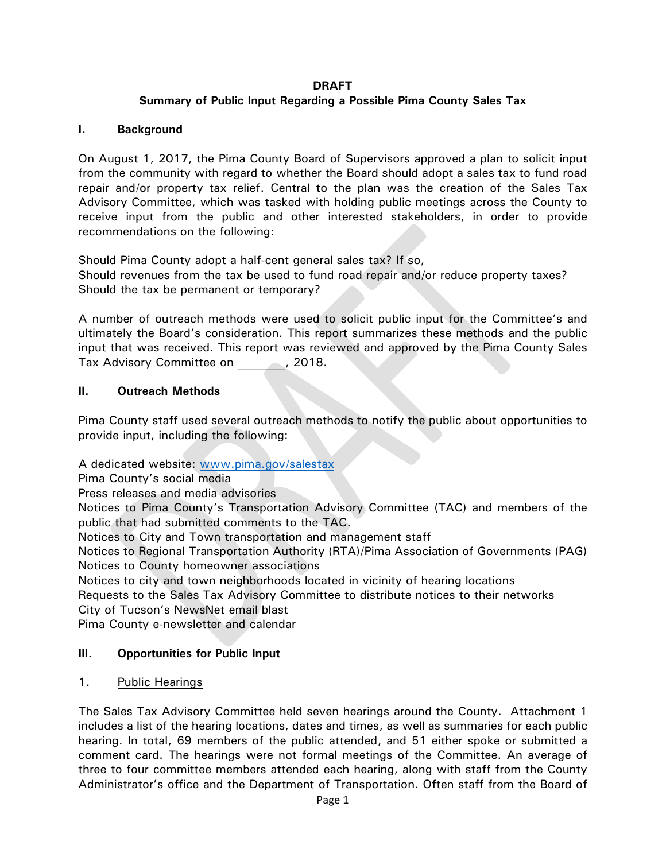#### **DRAFT**

### **Summary of Public Input Regarding a Possible Pima County Sales Tax**

#### **I. Background**

On August 1, 2017, the Pima County Board of Supervisors approved a plan to solicit input from the community with regard to whether the Board should adopt a sales tax to fund road repair and/or property tax relief. Central to the plan was the creation of the Sales Tax Advisory Committee, which was tasked with holding public meetings across the County to receive input from the public and other interested stakeholders, in order to provide recommendations on the following:

Should Pima County adopt a half-cent general sales tax? If so, Should revenues from the tax be used to fund road repair and/or reduce property taxes? Should the tax be permanent or temporary?

A number of outreach methods were used to solicit public input for the Committee's and ultimately the Board's consideration. This report summarizes these methods and the public input that was received. This report was reviewed and approved by the Pima County Sales Tax Advisory Committee on  $\hspace{1.5cm}$ , 2018.

#### **II. Outreach Methods**

Pima County staff used several outreach methods to notify the public about opportunities to provide input, including the following:

A dedicated website: [www.pima.gov/salestax](http://www.pima.gov/salestax)

Pima County's social media

Press releases and media advisories

Notices to Pima County's Transportation Advisory Committee (TAC) and members of the public that had submitted comments to the TAC.

Notices to City and Town transportation and management staff

Notices to Regional Transportation Authority (RTA)/Pima Association of Governments (PAG) Notices to County homeowner associations

Notices to city and town neighborhoods located in vicinity of hearing locations Requests to the Sales Tax Advisory Committee to distribute notices to their networks City of Tucson's NewsNet email blast

Pima County e-newsletter and calendar

#### **III. Opportunities for Public Input**

#### 1. Public Hearings

The Sales Tax Advisory Committee held seven hearings around the County. Attachment 1 includes a list of the hearing locations, dates and times, as well as summaries for each public hearing. In total, 69 members of the public attended, and 51 either spoke or submitted a comment card. The hearings were not formal meetings of the Committee. An average of three to four committee members attended each hearing, along with staff from the County Administrator's office and the Department of Transportation. Often staff from the Board of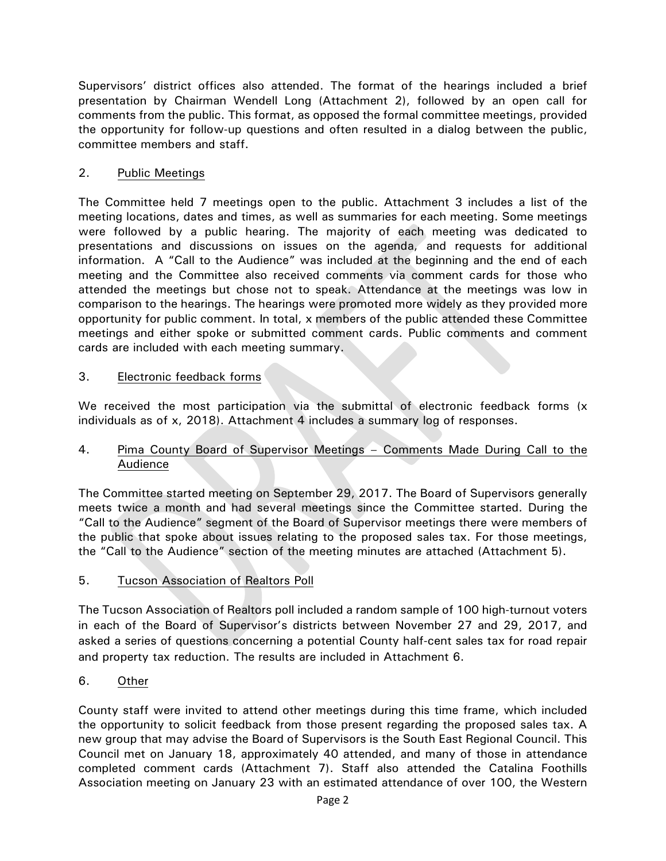Supervisors' district offices also attended. The format of the hearings included a brief presentation by Chairman Wendell Long (Attachment 2), followed by an open call for comments from the public. This format, as opposed the formal committee meetings, provided the opportunity for follow-up questions and often resulted in a dialog between the public, committee members and staff.

## 2. Public Meetings

The Committee held 7 meetings open to the public. Attachment 3 includes a list of the meeting locations, dates and times, as well as summaries for each meeting. Some meetings were followed by a public hearing. The majority of each meeting was dedicated to presentations and discussions on issues on the agenda, and requests for additional information. A "Call to the Audience" was included at the beginning and the end of each meeting and the Committee also received comments via comment cards for those who attended the meetings but chose not to speak. Attendance at the meetings was low in comparison to the hearings. The hearings were promoted more widely as they provided more opportunity for public comment. In total, x members of the public attended these Committee meetings and either spoke or submitted comment cards. Public comments and comment cards are included with each meeting summary.

### 3. Electronic feedback forms

We received the most participation via the submittal of electronic feedback forms (x individuals as of x, 2018). Attachment 4 includes a summary log of responses.

### 4. Pima County Board of Supervisor Meetings – Comments Made During Call to the Audience

The Committee started meeting on September 29, 2017. The Board of Supervisors generally meets twice a month and had several meetings since the Committee started. During the "Call to the Audience" segment of the Board of Supervisor meetings there were members of the public that spoke about issues relating to the proposed sales tax. For those meetings, the "Call to the Audience" section of the meeting minutes are attached (Attachment 5).

# 5. Tucson Association of Realtors Poll

The Tucson Association of Realtors poll included a random sample of 100 high-turnout voters in each of the Board of Supervisor's districts between November 27 and 29, 2017, and asked a series of questions concerning a potential County half-cent sales tax for road repair and property tax reduction. The results are included in Attachment 6.

# 6. Other

County staff were invited to attend other meetings during this time frame, which included the opportunity to solicit feedback from those present regarding the proposed sales tax. A new group that may advise the Board of Supervisors is the South East Regional Council. This Council met on January 18, approximately 40 attended, and many of those in attendance completed comment cards (Attachment 7). Staff also attended the Catalina Foothills Association meeting on January 23 with an estimated attendance of over 100, the Western